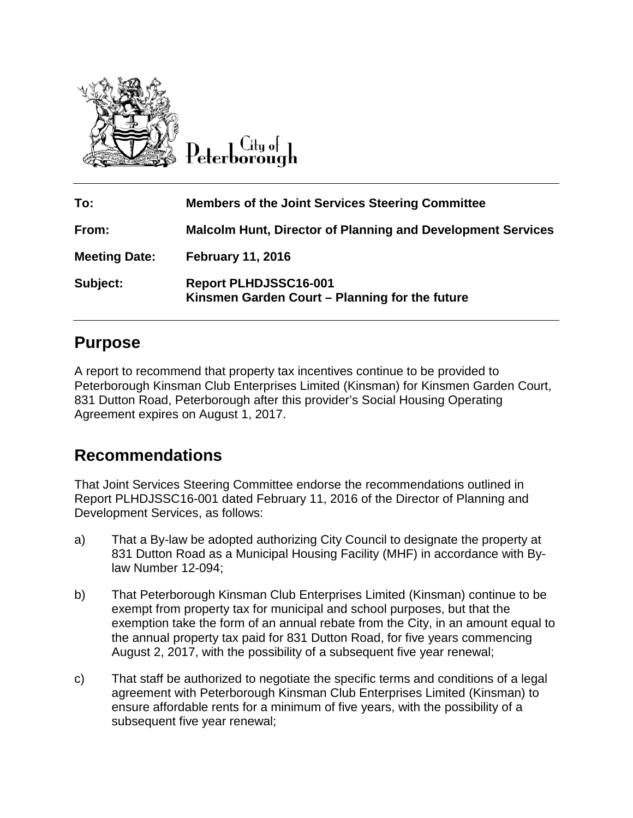

Citu of Peterborough

| To:                  | <b>Members of the Joint Services Steering Committee</b>                 |
|----------------------|-------------------------------------------------------------------------|
| From:                | <b>Malcolm Hunt, Director of Planning and Development Services</b>      |
| <b>Meeting Date:</b> | <b>February 11, 2016</b>                                                |
| Subject:             | Report PLHDJSSC16-001<br>Kinsmen Garden Court – Planning for the future |

# **Purpose**

A report to recommend that property tax incentives continue to be provided to Peterborough Kinsman Club Enterprises Limited (Kinsman) for Kinsmen Garden Court, 831 Dutton Road, Peterborough after this provider's Social Housing Operating Agreement expires on August 1, 2017.

# **Recommendations**

That Joint Services Steering Committee endorse the recommendations outlined in Report PLHDJSSC16-001 dated February 11, 2016 of the Director of Planning and Development Services, as follows:

- a) That a By-law be adopted authorizing City Council to designate the property at 831 Dutton Road as a Municipal Housing Facility (MHF) in accordance with Bylaw Number 12-094;
- b) That Peterborough Kinsman Club Enterprises Limited (Kinsman) continue to be exempt from property tax for municipal and school purposes, but that the exemption take the form of an annual rebate from the City, in an amount equal to the annual property tax paid for 831 Dutton Road, for five years commencing August 2, 2017, with the possibility of a subsequent five year renewal;
- c) That staff be authorized to negotiate the specific terms and conditions of a legal agreement with Peterborough Kinsman Club Enterprises Limited (Kinsman) to ensure affordable rents for a minimum of five years, with the possibility of a subsequent five year renewal;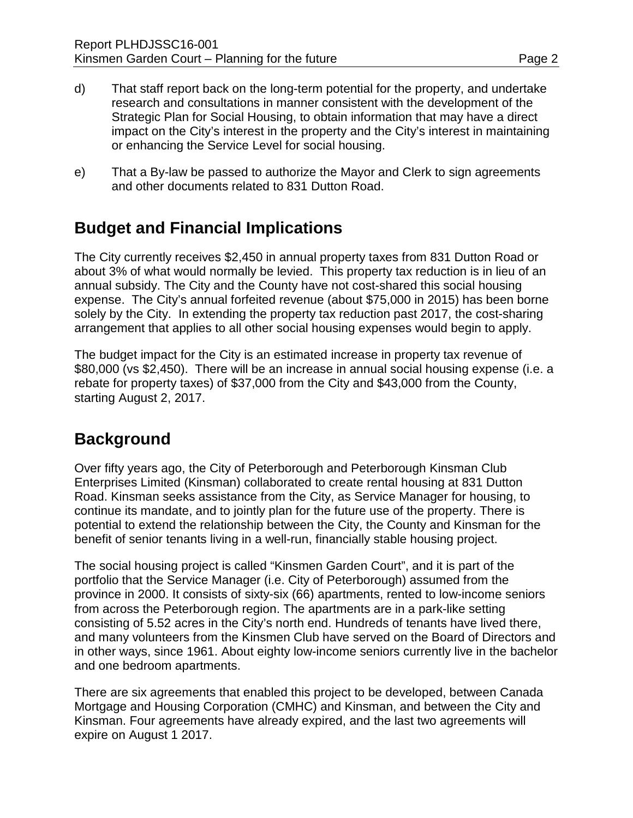- d) That staff report back on the long-term potential for the property, and undertake research and consultations in manner consistent with the development of the Strategic Plan for Social Housing, to obtain information that may have a direct impact on the City's interest in the property and the City's interest in maintaining or enhancing the Service Level for social housing.
- e) That a By-law be passed to authorize the Mayor and Clerk to sign agreements and other documents related to 831 Dutton Road.

# **Budget and Financial Implications**

The City currently receives \$2,450 in annual property taxes from 831 Dutton Road or about 3% of what would normally be levied. This property tax reduction is in lieu of an annual subsidy. The City and the County have not cost-shared this social housing expense. The City's annual forfeited revenue (about \$75,000 in 2015) has been borne solely by the City. In extending the property tax reduction past 2017, the cost-sharing arrangement that applies to all other social housing expenses would begin to apply.

The budget impact for the City is an estimated increase in property tax revenue of \$80,000 (vs \$2,450). There will be an increase in annual social housing expense (i.e. a rebate for property taxes) of \$37,000 from the City and \$43,000 from the County, starting August 2, 2017.

# **Background**

Over fifty years ago, the City of Peterborough and Peterborough Kinsman Club Enterprises Limited (Kinsman) collaborated to create rental housing at 831 Dutton Road. Kinsman seeks assistance from the City, as Service Manager for housing, to continue its mandate, and to jointly plan for the future use of the property. There is potential to extend the relationship between the City, the County and Kinsman for the benefit of senior tenants living in a well-run, financially stable housing project.

The social housing project is called "Kinsmen Garden Court", and it is part of the portfolio that the Service Manager (i.e. City of Peterborough) assumed from the province in 2000. It consists of sixty-six (66) apartments, rented to low-income seniors from across the Peterborough region. The apartments are in a park-like setting consisting of 5.52 acres in the City's north end. Hundreds of tenants have lived there, and many volunteers from the Kinsmen Club have served on the Board of Directors and in other ways, since 1961. About eighty low-income seniors currently live in the bachelor and one bedroom apartments.

There are six agreements that enabled this project to be developed, between Canada Mortgage and Housing Corporation (CMHC) and Kinsman, and between the City and Kinsman. Four agreements have already expired, and the last two agreements will expire on August 1 2017.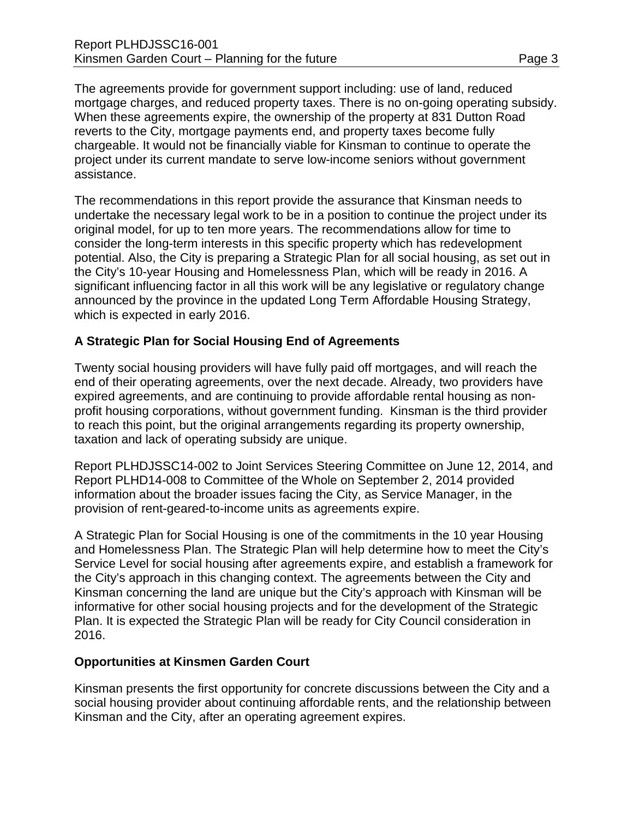The agreements provide for government support including: use of land, reduced mortgage charges, and reduced property taxes. There is no on-going operating subsidy. When these agreements expire, the ownership of the property at 831 Dutton Road reverts to the City, mortgage payments end, and property taxes become fully chargeable. It would not be financially viable for Kinsman to continue to operate the project under its current mandate to serve low-income seniors without government assistance.

The recommendations in this report provide the assurance that Kinsman needs to undertake the necessary legal work to be in a position to continue the project under its original model, for up to ten more years. The recommendations allow for time to consider the long-term interests in this specific property which has redevelopment potential. Also, the City is preparing a Strategic Plan for all social housing, as set out in the City's 10-year Housing and Homelessness Plan, which will be ready in 2016. A significant influencing factor in all this work will be any legislative or regulatory change announced by the province in the updated Long Term Affordable Housing Strategy, which is expected in early 2016.

## **A Strategic Plan for Social Housing End of Agreements**

Twenty social housing providers will have fully paid off mortgages, and will reach the end of their operating agreements, over the next decade. Already, two providers have expired agreements, and are continuing to provide affordable rental housing as nonprofit housing corporations, without government funding. Kinsman is the third provider to reach this point, but the original arrangements regarding its property ownership, taxation and lack of operating subsidy are unique.

Report PLHDJSSC14-002 to Joint Services Steering Committee on June 12, 2014, and Report PLHD14-008 to Committee of the Whole on September 2, 2014 provided information about the broader issues facing the City, as Service Manager, in the provision of rent-geared-to-income units as agreements expire.

A Strategic Plan for Social Housing is one of the commitments in the 10 year Housing and Homelessness Plan. The Strategic Plan will help determine how to meet the City's Service Level for social housing after agreements expire, and establish a framework for the City's approach in this changing context. The agreements between the City and Kinsman concerning the land are unique but the City's approach with Kinsman will be informative for other social housing projects and for the development of the Strategic Plan. It is expected the Strategic Plan will be ready for City Council consideration in 2016.

#### **Opportunities at Kinsmen Garden Court**

Kinsman presents the first opportunity for concrete discussions between the City and a social housing provider about continuing affordable rents, and the relationship between Kinsman and the City, after an operating agreement expires.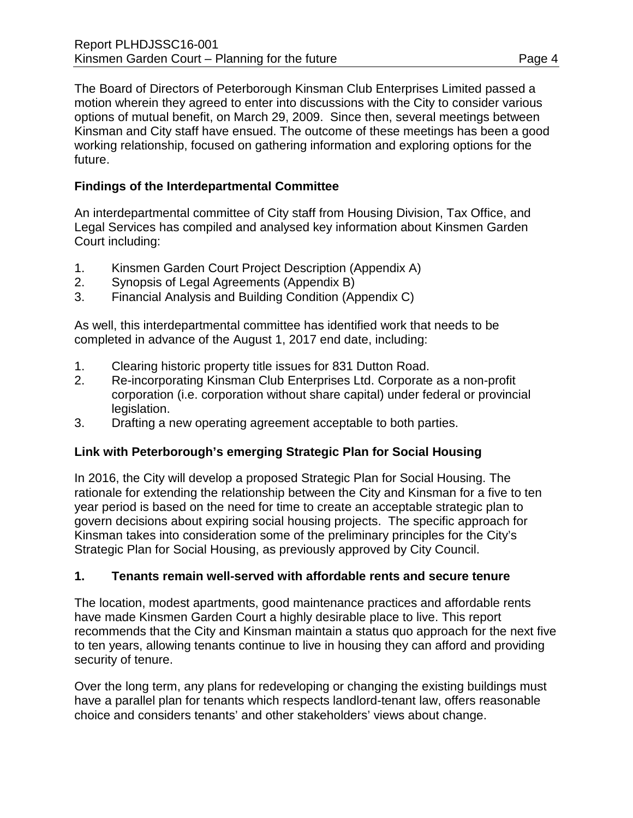The Board of Directors of Peterborough Kinsman Club Enterprises Limited passed a motion wherein they agreed to enter into discussions with the City to consider various options of mutual benefit, on March 29, 2009. Since then, several meetings between Kinsman and City staff have ensued. The outcome of these meetings has been a good working relationship, focused on gathering information and exploring options for the future.

## **Findings of the Interdepartmental Committee**

An interdepartmental committee of City staff from Housing Division, Tax Office, and Legal Services has compiled and analysed key information about Kinsmen Garden Court including:

- 1. Kinsmen Garden Court Project Description (Appendix A)
- 2. Synopsis of Legal Agreements (Appendix B)
- 3. Financial Analysis and Building Condition (Appendix C)

As well, this interdepartmental committee has identified work that needs to be completed in advance of the August 1, 2017 end date, including:

- 1. Clearing historic property title issues for 831 Dutton Road.
- 2. Re-incorporating Kinsman Club Enterprises Ltd. Corporate as a non-profit corporation (i.e. corporation without share capital) under federal or provincial legislation.
- 3. Drafting a new operating agreement acceptable to both parties.

#### **Link with Peterborough's emerging Strategic Plan for Social Housing**

In 2016, the City will develop a proposed Strategic Plan for Social Housing. The rationale for extending the relationship between the City and Kinsman for a five to ten year period is based on the need for time to create an acceptable strategic plan to govern decisions about expiring social housing projects. The specific approach for Kinsman takes into consideration some of the preliminary principles for the City's Strategic Plan for Social Housing, as previously approved by City Council.

#### **1. Tenants remain well-served with affordable rents and secure tenure**

The location, modest apartments, good maintenance practices and affordable rents have made Kinsmen Garden Court a highly desirable place to live. This report recommends that the City and Kinsman maintain a status quo approach for the next five to ten years, allowing tenants continue to live in housing they can afford and providing security of tenure.

Over the long term, any plans for redeveloping or changing the existing buildings must have a parallel plan for tenants which respects landlord-tenant law, offers reasonable choice and considers tenants' and other stakeholders' views about change.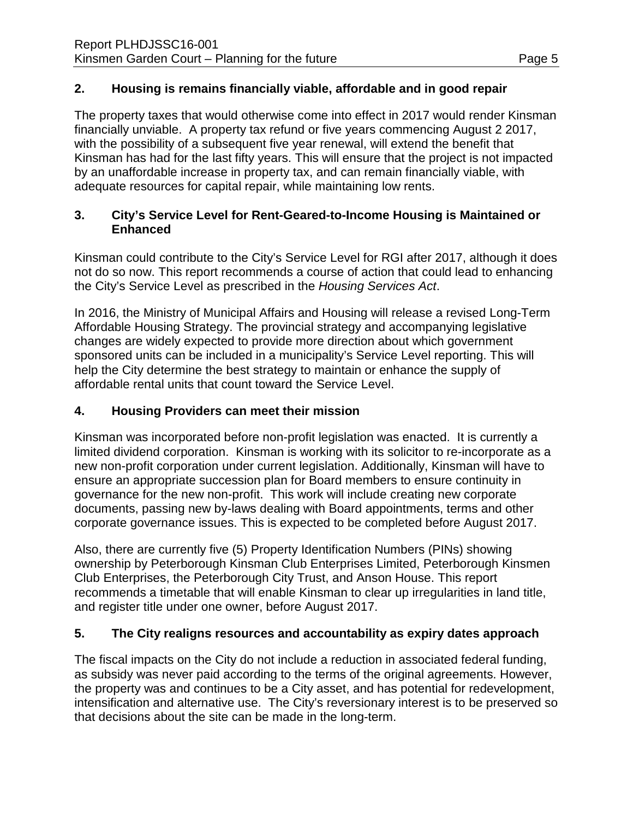The property taxes that would otherwise come into effect in 2017 would render Kinsman financially unviable. A property tax refund or five years commencing August 2 2017, with the possibility of a subsequent five year renewal, will extend the benefit that Kinsman has had for the last fifty years. This will ensure that the project is not impacted by an unaffordable increase in property tax, and can remain financially viable, with adequate resources for capital repair, while maintaining low rents.

## **3. City's Service Level for Rent-Geared-to-Income Housing is Maintained or Enhanced**

Kinsman could contribute to the City's Service Level for RGI after 2017, although it does not do so now. This report recommends a course of action that could lead to enhancing the City's Service Level as prescribed in the *Housing Services Act*.

In 2016, the Ministry of Municipal Affairs and Housing will release a revised Long-Term Affordable Housing Strategy. The provincial strategy and accompanying legislative changes are widely expected to provide more direction about which government sponsored units can be included in a municipality's Service Level reporting. This will help the City determine the best strategy to maintain or enhance the supply of affordable rental units that count toward the Service Level.

# **4. Housing Providers can meet their mission**

Kinsman was incorporated before non-profit legislation was enacted. It is currently a limited dividend corporation. Kinsman is working with its solicitor to re-incorporate as a new non-profit corporation under current legislation. Additionally, Kinsman will have to ensure an appropriate succession plan for Board members to ensure continuity in governance for the new non-profit. This work will include creating new corporate documents, passing new by-laws dealing with Board appointments, terms and other corporate governance issues. This is expected to be completed before August 2017.

Also, there are currently five (5) Property Identification Numbers (PINs) showing ownership by Peterborough Kinsman Club Enterprises Limited, Peterborough Kinsmen Club Enterprises, the Peterborough City Trust, and Anson House. This report recommends a timetable that will enable Kinsman to clear up irregularities in land title, and register title under one owner, before August 2017.

# **5. The City realigns resources and accountability as expiry dates approach**

The fiscal impacts on the City do not include a reduction in associated federal funding, as subsidy was never paid according to the terms of the original agreements. However, the property was and continues to be a City asset, and has potential for redevelopment, intensification and alternative use. The City's reversionary interest is to be preserved so that decisions about the site can be made in the long-term.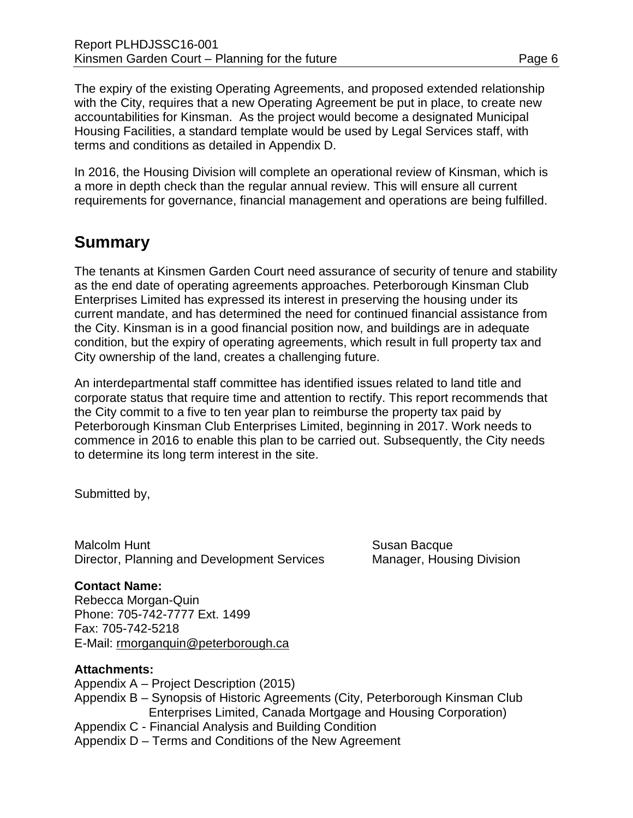The expiry of the existing Operating Agreements, and proposed extended relationship with the City, requires that a new Operating Agreement be put in place, to create new accountabilities for Kinsman. As the project would become a designated Municipal Housing Facilities, a standard template would be used by Legal Services staff, with terms and conditions as detailed in Appendix D.

In 2016, the Housing Division will complete an operational review of Kinsman, which is a more in depth check than the regular annual review. This will ensure all current requirements for governance, financial management and operations are being fulfilled.

# **Summary**

The tenants at Kinsmen Garden Court need assurance of security of tenure and stability as the end date of operating agreements approaches. Peterborough Kinsman Club Enterprises Limited has expressed its interest in preserving the housing under its current mandate, and has determined the need for continued financial assistance from the City. Kinsman is in a good financial position now, and buildings are in adequate condition, but the expiry of operating agreements, which result in full property tax and City ownership of the land, creates a challenging future.

An interdepartmental staff committee has identified issues related to land title and corporate status that require time and attention to rectify. This report recommends that the City commit to a five to ten year plan to reimburse the property tax paid by Peterborough Kinsman Club Enterprises Limited, beginning in 2017. Work needs to commence in 2016 to enable this plan to be carried out. Subsequently, the City needs to determine its long term interest in the site.

Submitted by,

Malcolm Hunt **Malcolm Hunt** Susan Bacque Director, Planning and Development Services Manager, Housing Division

# **Contact Name:**

Rebecca Morgan-Quin Phone: 705-742-7777 Ext. 1499 Fax: 705-742-5218 E-Mail: [rmorganquin@peterborough.ca](mailto:rmorganquin@peterborough.ca)

## **Attachments:**

Appendix A – Project Description (2015) Appendix B – Synopsis of Historic Agreements (City, Peterborough Kinsman Club Enterprises Limited, Canada Mortgage and Housing Corporation) Appendix C - Financial Analysis and Building Condition Appendix D – Terms and Conditions of the New Agreement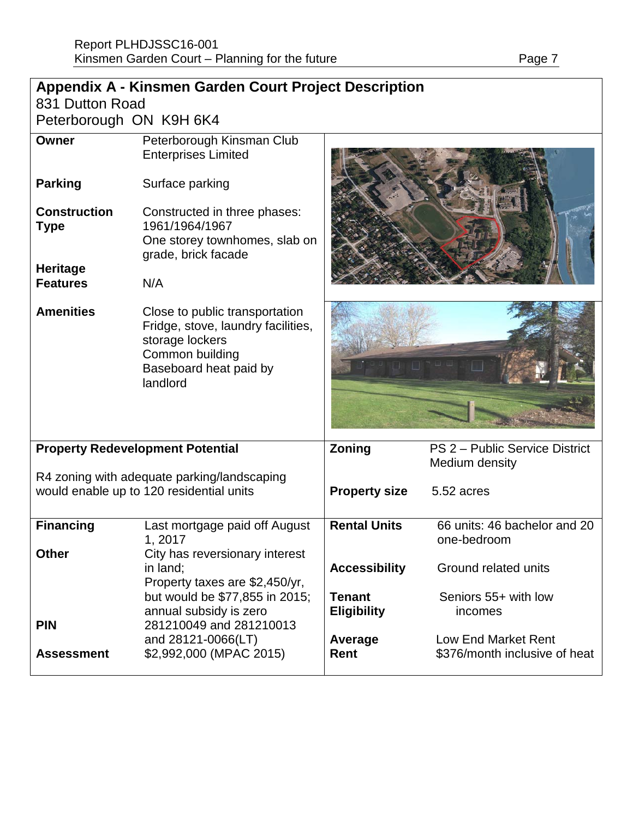| <b>Appendix A - Kinsmen Garden Court Project Description</b>                            |                                                                                                                                                  |                                     |                                                      |  |  |  |
|-----------------------------------------------------------------------------------------|--------------------------------------------------------------------------------------------------------------------------------------------------|-------------------------------------|------------------------------------------------------|--|--|--|
| 831 Dutton Road                                                                         |                                                                                                                                                  |                                     |                                                      |  |  |  |
| Peterborough ON K9H 6K4                                                                 |                                                                                                                                                  |                                     |                                                      |  |  |  |
| <b>Owner</b>                                                                            | Peterborough Kinsman Club<br><b>Enterprises Limited</b>                                                                                          |                                     |                                                      |  |  |  |
| <b>Parking</b>                                                                          | Surface parking                                                                                                                                  |                                     |                                                      |  |  |  |
| <b>Construction</b><br><b>Type</b>                                                      | Constructed in three phases:<br>1961/1964/1967<br>One storey townhomes, slab on<br>grade, brick facade                                           |                                     |                                                      |  |  |  |
| <b>Heritage</b><br><b>Features</b>                                                      | N/A                                                                                                                                              |                                     |                                                      |  |  |  |
| <b>Amenities</b>                                                                        | Close to public transportation<br>Fridge, stove, laundry facilities,<br>storage lockers<br>Common building<br>Baseboard heat paid by<br>landlord |                                     |                                                      |  |  |  |
| <b>Property Redevelopment Potential</b>                                                 |                                                                                                                                                  | Zoning                              | PS 2 - Public Service District<br>Medium density     |  |  |  |
| R4 zoning with adequate parking/landscaping<br>would enable up to 120 residential units |                                                                                                                                                  | <b>Property size</b>                | 5.52 acres                                           |  |  |  |
| <b>Financing</b>                                                                        | Last mortgage paid off August<br>1, 2017                                                                                                         | <b>Rental Units</b>                 | 66 units: 46 bachelor and 20<br>one-bedroom          |  |  |  |
| <b>Other</b>                                                                            | City has reversionary interest<br>in land;<br>Property taxes are \$2,450/yr,                                                                     | <b>Accessibility</b>                | Ground related units                                 |  |  |  |
|                                                                                         | but would be \$77,855 in 2015;<br>annual subsidy is zero                                                                                         | <b>Tenant</b><br><b>Eligibility</b> | Seniors 55+ with low<br>incomes                      |  |  |  |
| <b>PIN</b><br><b>Assessment</b>                                                         | 281210049 and 281210013<br>and 28121-0066(LT)<br>\$2,992,000 (MPAC 2015)                                                                         | Average<br>Rent                     | Low End Market Rent<br>\$376/month inclusive of heat |  |  |  |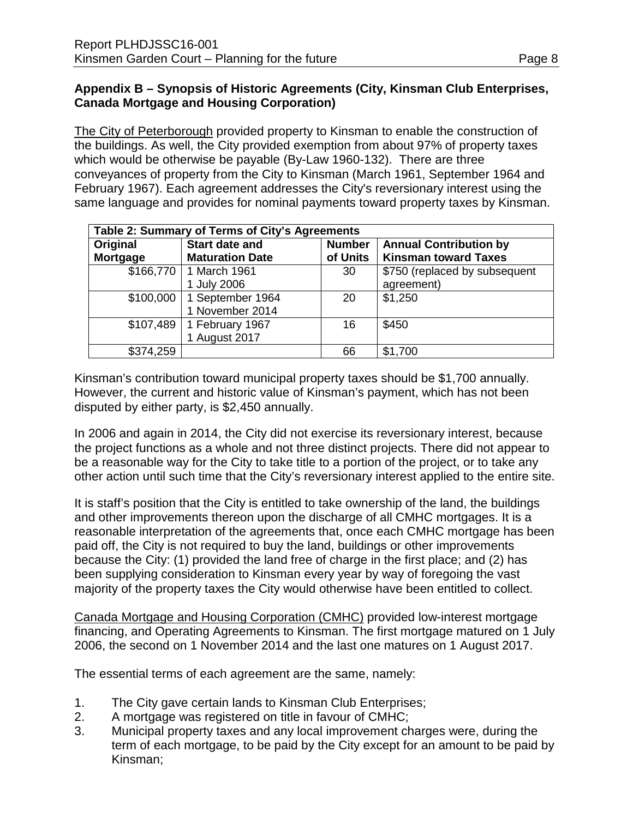## **Appendix B – Synopsis of Historic Agreements (City, Kinsman Club Enterprises, Canada Mortgage and Housing Corporation)**

The City of Peterborough provided property to Kinsman to enable the construction of the buildings. As well, the City provided exemption from about 97% of property taxes which would be otherwise be payable (By-Law 1960-132). There are three conveyances of property from the City to Kinsman (March 1961, September 1964 and February 1967). Each agreement addresses the City's reversionary interest using the same language and provides for nominal payments toward property taxes by Kinsman.

| Table 2: Summary of Terms of City's Agreements |                        |               |                               |  |  |  |
|------------------------------------------------|------------------------|---------------|-------------------------------|--|--|--|
| Original                                       | <b>Start date and</b>  | <b>Number</b> | <b>Annual Contribution by</b> |  |  |  |
| Mortgage                                       | <b>Maturation Date</b> | of Units      | <b>Kinsman toward Taxes</b>   |  |  |  |
| \$166,770                                      | 1 March 1961           | 30            | \$750 (replaced by subsequent |  |  |  |
|                                                | 1 July 2006            |               | agreement)                    |  |  |  |
| \$100,000                                      | 1 September 1964       | 20            | \$1,250                       |  |  |  |
|                                                | 1 November 2014        |               |                               |  |  |  |
| \$107,489                                      | 1 February 1967        | 16            | \$450                         |  |  |  |
|                                                | 1 August 2017          |               |                               |  |  |  |
| \$374,259                                      |                        | 66            | \$1,700                       |  |  |  |

Kinsman's contribution toward municipal property taxes should be \$1,700 annually. However, the current and historic value of Kinsman's payment, which has not been disputed by either party, is \$2,450 annually.

In 2006 and again in 2014, the City did not exercise its reversionary interest, because the project functions as a whole and not three distinct projects. There did not appear to be a reasonable way for the City to take title to a portion of the project, or to take any other action until such time that the City's reversionary interest applied to the entire site.

It is staff's position that the City is entitled to take ownership of the land, the buildings and other improvements thereon upon the discharge of all CMHC mortgages. It is a reasonable interpretation of the agreements that, once each CMHC mortgage has been paid off, the City is not required to buy the land, buildings or other improvements because the City: (1) provided the land free of charge in the first place; and (2) has been supplying consideration to Kinsman every year by way of foregoing the vast majority of the property taxes the City would otherwise have been entitled to collect.

Canada Mortgage and Housing Corporation (CMHC) provided low-interest mortgage financing, and Operating Agreements to Kinsman. The first mortgage matured on 1 July 2006, the second on 1 November 2014 and the last one matures on 1 August 2017.

The essential terms of each agreement are the same, namely:

- 1. The City gave certain lands to Kinsman Club Enterprises;
- 2. A mortgage was registered on title in favour of CMHC;
- 3. Municipal property taxes and any local improvement charges were, during the term of each mortgage, to be paid by the City except for an amount to be paid by Kinsman;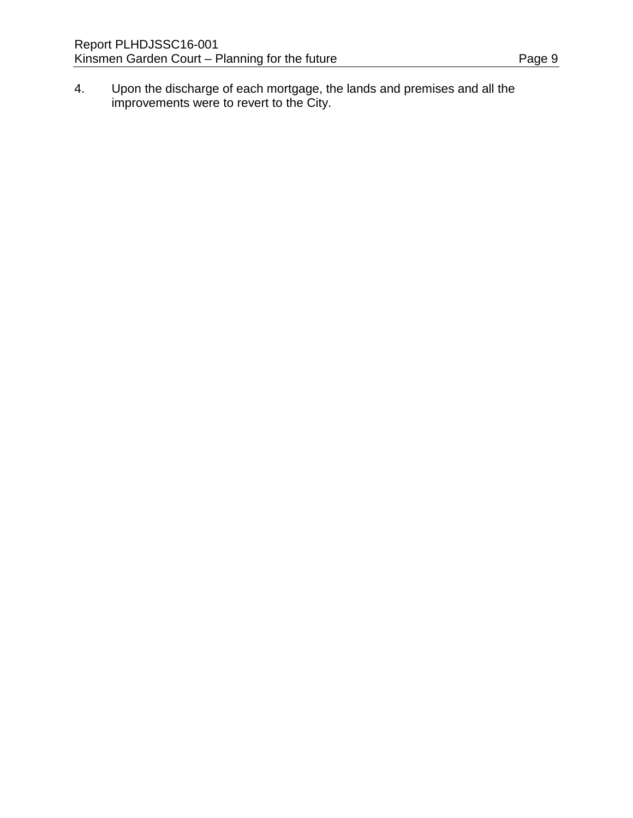4. Upon the discharge of each mortgage, the lands and premises and all the improvements were to revert to the City.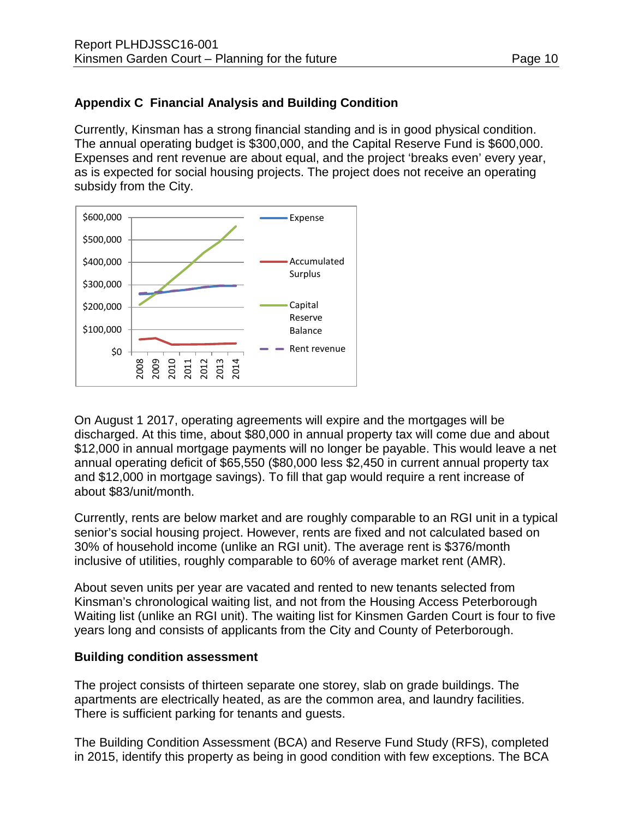## **Appendix C Financial Analysis and Building Condition**

Currently, Kinsman has a strong financial standing and is in good physical condition. The annual operating budget is \$300,000, and the Capital Reserve Fund is \$600,000. Expenses and rent revenue are about equal, and the project 'breaks even' every year, as is expected for social housing projects. The project does not receive an operating subsidy from the City.



On August 1 2017, operating agreements will expire and the mortgages will be discharged. At this time, about \$80,000 in annual property tax will come due and about \$12,000 in annual mortgage payments will no longer be payable. This would leave a net annual operating deficit of \$65,550 (\$80,000 less \$2,450 in current annual property tax and \$12,000 in mortgage savings). To fill that gap would require a rent increase of about \$83/unit/month.

Currently, rents are below market and are roughly comparable to an RGI unit in a typical senior's social housing project. However, rents are fixed and not calculated based on 30% of household income (unlike an RGI unit). The average rent is \$376/month inclusive of utilities, roughly comparable to 60% of average market rent (AMR).

About seven units per year are vacated and rented to new tenants selected from Kinsman's chronological waiting list, and not from the Housing Access Peterborough Waiting list (unlike an RGI unit). The waiting list for Kinsmen Garden Court is four to five years long and consists of applicants from the City and County of Peterborough.

#### **Building condition assessment**

The project consists of thirteen separate one storey, slab on grade buildings. The apartments are electrically heated, as are the common area, and laundry facilities. There is sufficient parking for tenants and guests.

The Building Condition Assessment (BCA) and Reserve Fund Study (RFS), completed in 2015, identify this property as being in good condition with few exceptions. The BCA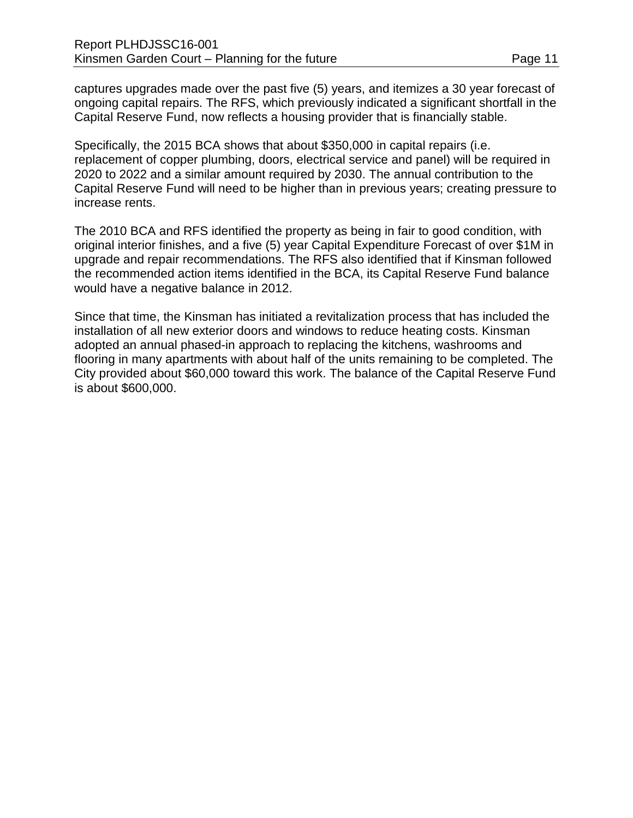captures upgrades made over the past five (5) years, and itemizes a 30 year forecast of ongoing capital repairs. The RFS, which previously indicated a significant shortfall in the Capital Reserve Fund, now reflects a housing provider that is financially stable.

Specifically, the 2015 BCA shows that about \$350,000 in capital repairs (i.e. replacement of copper plumbing, doors, electrical service and panel) will be required in 2020 to 2022 and a similar amount required by 2030. The annual contribution to the Capital Reserve Fund will need to be higher than in previous years; creating pressure to increase rents.

The 2010 BCA and RFS identified the property as being in fair to good condition, with original interior finishes, and a five (5) year Capital Expenditure Forecast of over \$1M in upgrade and repair recommendations. The RFS also identified that if Kinsman followed the recommended action items identified in the BCA, its Capital Reserve Fund balance would have a negative balance in 2012.

Since that time, the Kinsman has initiated a revitalization process that has included the installation of all new exterior doors and windows to reduce heating costs. Kinsman adopted an annual phased-in approach to replacing the kitchens, washrooms and flooring in many apartments with about half of the units remaining to be completed. The City provided about \$60,000 toward this work. The balance of the Capital Reserve Fund is about \$600,000.